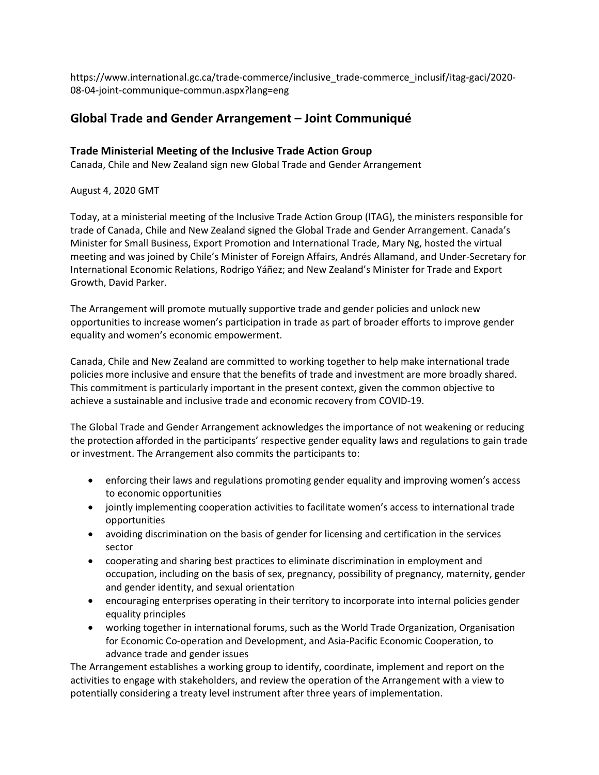https://www.international.gc.ca/trade-commerce/inclusive\_trade-commerce\_inclusif/itag-gaci/2020- 08-04-joint-communique-commun.aspx?lang=eng

## **Global Trade and Gender Arrangement – Joint Communiqué**

## **Trade Ministerial Meeting of the Inclusive Trade Action Group**

Canada, Chile and New Zealand sign new Global Trade and Gender Arrangement

## August 4, 2020 GMT

Today, at a ministerial meeting of the Inclusive Trade Action Group (ITAG), the ministers responsible for trade of Canada, Chile and New Zealand signed the Global Trade and Gender Arrangement. Canada's Minister for Small Business, Export Promotion and International Trade, Mary Ng, hosted the virtual meeting and was joined by Chile's Minister of Foreign Affairs, Andrés Allamand, and Under-Secretary for International Economic Relations, Rodrigo Yáñez; and New Zealand's Minister for Trade and Export Growth, David Parker.

The Arrangement will promote mutually supportive trade and gender policies and unlock new opportunities to increase women's participation in trade as part of broader efforts to improve gender equality and women's economic empowerment.

Canada, Chile and New Zealand are committed to working together to help make international trade policies more inclusive and ensure that the benefits of trade and investment are more broadly shared. This commitment is particularly important in the present context, given the common objective to achieve a sustainable and inclusive trade and economic recovery from COVID-19.

The Global Trade and Gender Arrangement acknowledges the importance of not weakening or reducing the protection afforded in the participants' respective gender equality laws and regulations to gain trade or investment. The Arrangement also commits the participants to:

- enforcing their laws and regulations promoting gender equality and improving women's access to economic opportunities
- jointly implementing cooperation activities to facilitate women's access to international trade opportunities
- avoiding discrimination on the basis of gender for licensing and certification in the services sector
- cooperating and sharing best practices to eliminate discrimination in employment and occupation, including on the basis of sex, pregnancy, possibility of pregnancy, maternity, gender and gender identity, and sexual orientation
- encouraging enterprises operating in their territory to incorporate into internal policies gender equality principles
- working together in international forums, such as the World Trade Organization, Organisation for Economic Co-operation and Development, and Asia-Pacific Economic Cooperation, to advance trade and gender issues

The Arrangement establishes a working group to identify, coordinate, implement and report on the activities to engage with stakeholders, and review the operation of the Arrangement with a view to potentially considering a treaty level instrument after three years of implementation.